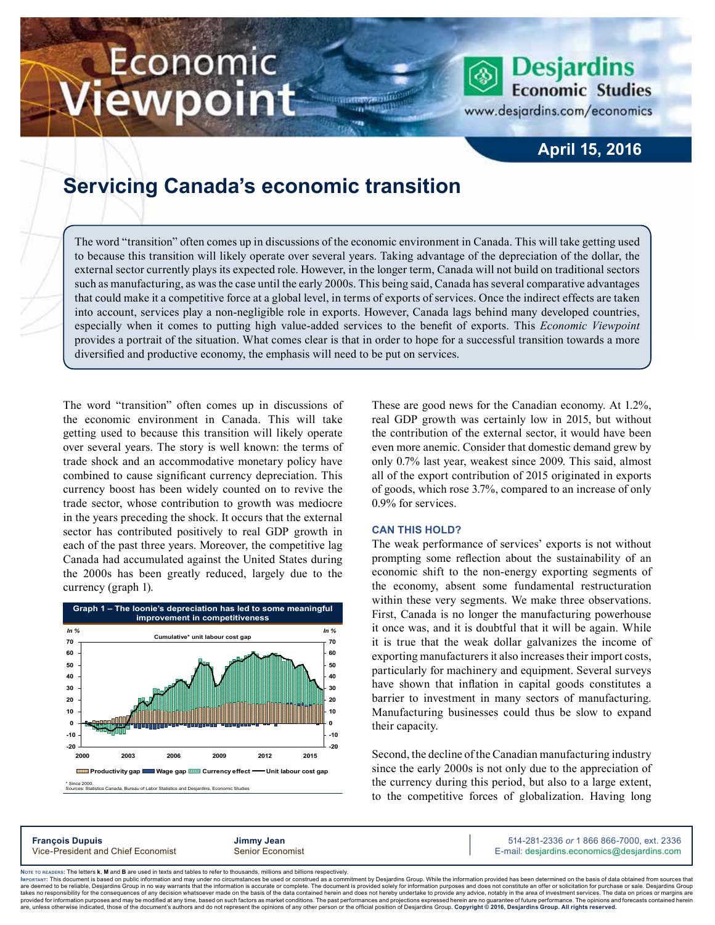# Economic iewpoint

### **April 15, 2016**

**Desjardins Economic Studies** 

www.desjardins.com/economics

## **Servicing Canada's economic transition**

The word "transition" often comes up in discussions of the economic environment in Canada. This will take getting used to because this transition will likely operate over several years. Taking advantage of the depreciation of the dollar, the external sector currently plays its expected role. However, in the longer term, Canada will not build on traditional sectors such as manufacturing, as was the case until the early 2000s. This being said, Canada has several comparative advantages that could make it a competitive force at a global level, in terms of exports of services. Once the indirect effects are taken into account, services play a non-negligible role in exports. However, Canada lags behind many developed countries, especially when it comes to putting high value-added services to the benefit of exports. This *Economic Viewpoint*  provides a portrait of the situation. What comes clear is that in order to hope for a successful transition towards a more diversified and productive economy, the emphasis will need to be put on services.

m

The word "transition" often comes up in discussions of the economic environment in Canada. This will take getting used to because this transition will likely operate over several years. The story is well known: the terms of trade shock and an accommodative monetary policy have combined to cause significant currency depreciation. This currency boost has been widely counted on to revive the trade sector, whose contribution to growth was mediocre in the years preceding the shock. It occurs that the external sector has contributed positively to real GDP growth in each of the past three years. Moreover, the competitive lag Canada had accumulated against the United States during the 2000s has been greatly reduced, largely due to the currency (graph 1).



These are good news for the Canadian economy. At 1.2%, real GDP growth was certainly low in 2015, but without the contribution of the external sector, it would have been even more anemic. Consider that domestic demand grew by only 0.7% last year, weakest since 2009. This said, almost all of the export contribution of 2015 originated in exports of goods, which rose 3.7%, compared to an increase of only 0.9% for services.

#### **Can this hold?**

The weak performance of services' exports is not without prompting some reflection about the sustainability of an economic shift to the non-energy exporting segments of the economy, absent some fundamental restructuration within these very segments. We make three observations. First, Canada is no longer the manufacturing powerhouse it once was, and it is doubtful that it will be again. While it is true that the weak dollar galvanizes the income of exporting manufacturers it also increases their import costs, particularly for machinery and equipment. Several surveys have shown that inflation in capital goods constitutes a barrier to investment in many sectors of manufacturing. Manufacturing businesses could thus be slow to expand their capacity.

Second, the decline of the Canadian manufacturing industry since the early 2000s is not only due to the appreciation of the currency during this period, but also to a large extent, to the competitive forces of globalization. Having long

**François Dupuis Jimmy Jean** 514-281-2336 *or* 1 866 866-7000, ext. 2336 Vice-President and Chief Economist Senior Economist Senior Economist E-mail: desjardins.economics@desjardins.com

Noте то келоекs: The letters **k, M** and **B** are used in texts and tables to refer to thousands, millions and billions respectively.<br>Імроктлит: This document is based on public information and may under no circumstances be are deemed to be reliable. Desiardins Group in no way warrants that the information is accurate or complete. The document is provided solely for information purposes and does not constitute an offer or solicitation for pur takes no responsibility for the consequences of any decision whatsoever made on the basis of the data contained herein and does not hereby undertake to provide any advice, notably in the area of investment services. The da .<br>are, unless otherwise indicated, those of the document's authors and do not represent the opinions of any other person or the official position of Desjardins Group. Copyright © 2016, Desjardins Group. All rights reserve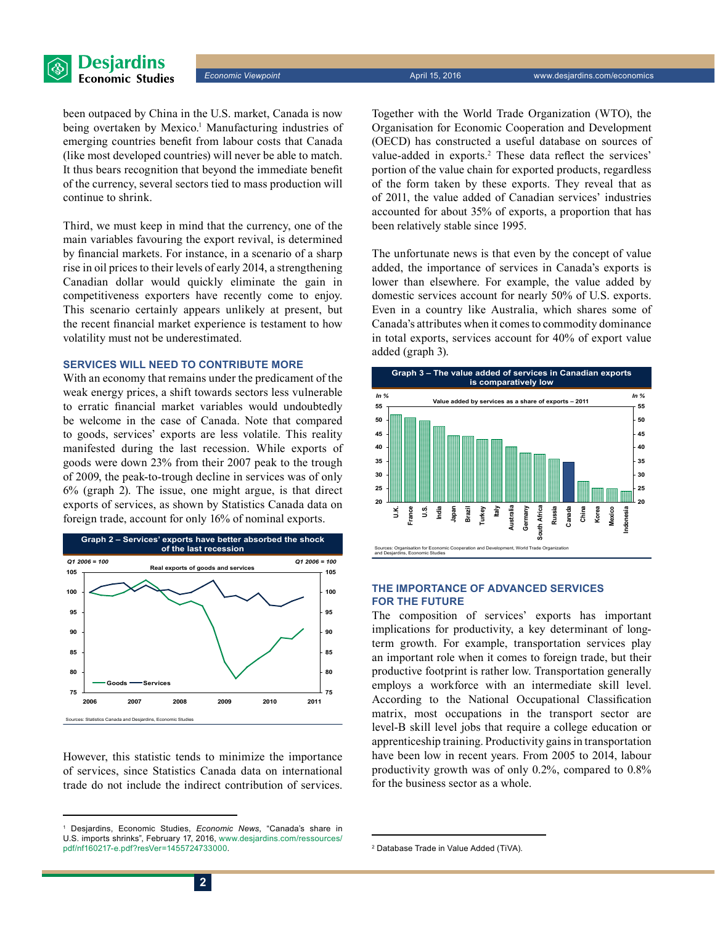

been outpaced by China in the U.S. market, Canada is now being overtaken by Mexico.<sup>1</sup> Manufacturing industries of emerging countries benefit from labour costs that Canada (like most developed countries) will never be able to match. It thus bears recognition that beyond the immediate benefit of the currency, several sectors tied to mass production will continue to shrink.

Third, we must keep in mind that the currency, one of the main variables favouring the export revival, is determined by financial markets. For instance, in a scenario of a sharp rise in oil prices to their levels of early 2014, a strengthening Canadian dollar would quickly eliminate the gain in competitiveness exporters have recently come to enjoy. This scenario certainly appears unlikely at present, but the recent financial market experience is testament to how volatility must not be underestimated.

#### **Services will need to contribute more**

With an economy that remains under the predicament of the weak energy prices, a shift towards sectors less vulnerable to erratic financial market variables would undoubtedly be welcome in the case of Canada. Note that compared to goods, services' exports are less volatile. This reality manifested during the last recession. While exports of goods were down 23% from their 2007 peak to the trough of 2009, the peak-to-trough decline in services was of only 6% (graph 2). The issue, one might argue, is that direct exports of services, as shown by Statistics Canada data on foreign trade, account for only 16% of nominal exports.



However, this statistic tends to minimize the importance of services, since Statistics Canada data on international trade do not include the indirect contribution of services.

Together with the World Trade Organization (WTO), the Organisation for Economic Cooperation and Development (OECD) has constructed a useful database on sources of value-added in exports.<sup>2</sup> These data reflect the services' portion of the value chain for exported products, regardless of the form taken by these exports. They reveal that as of 2011, the value added of Canadian services' industries accounted for about 35% of exports, a proportion that has been relatively stable since 1995.

The unfortunate news is that even by the concept of value added, the importance of services in Canada's exports is lower than elsewhere. For example, the value added by domestic services account for nearly 50% of U.S. exports. Even in a country like Australia, which shares some of Canada's attributes when it comes to commodity dominance in total exports, services account for 40% of export value added (graph 3).



#### **The importance of advanced services for the future**

The composition of services' exports has important implications for productivity, a key determinant of longterm growth. For example, transportation services play an important role when it comes to foreign trade, but their productive footprint is rather low. Transportation generally employs a workforce with an intermediate skill level. According to the National Occupational Classification matrix, most occupations in the transport sector are level-B skill level jobs that require a college education or apprenticeship training. Productivity gains in transportation have been low in recent years. From 2005 to 2014, labour productivity growth was of only 0.2%, compared to 0.8% for the business sector as a whole.

<sup>1</sup> Desjardins, Economic Studies, *Economic News*, "Canada's share in U.S. imports shrinks", February 17, 2016, [www.desjardins.com/ressources/](http://www.desjardins.com/ressources/pdf/nf160217-e.pdf?resVer=1455724733000) [pdf/nf160217-e.pdf?resVer=1455724733000.](http://www.desjardins.com/ressources/pdf/nf160217-e.pdf?resVer=1455724733000) <sup>2</sup>

<sup>&</sup>lt;sup>2</sup> Database Trade in Value Added (TiVA).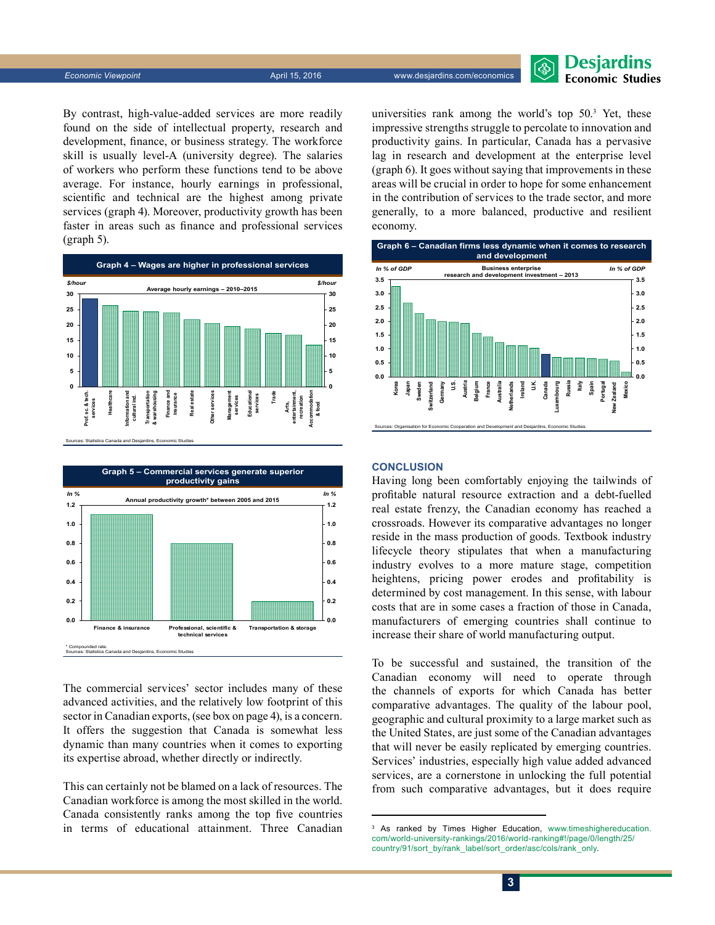*Economic Viewpoint* April 15, 2016 www.desjardins.com/economics

#### **Desjardins Economic Studies**

By contrast, high-value-added services are more readily found on the side of intellectual property, research and development, finance, or business strategy. The workforce skill is usually level-A (university degree). The salaries of workers who perform these functions tend to be above average. For instance, hourly earnings in professional, scientific and technical are the highest among private services (graph 4). Moreover, productivity growth has been faster in areas such as finance and professional services (graph 5).





The commercial services' sector includes many of these advanced activities, and the relatively low footprint of this sector in Canadian exports, (see box on page 4), is a concern. It offers the suggestion that Canada is somewhat less dynamic than many countries when it comes to exporting its expertise abroad, whether directly or indirectly.

This can certainly not be blamed on a lack of resources. The Canadian workforce is among the most skilled in the world. Canada consistently ranks among the top five countries in terms of educational attainment. Three Canadian

universities rank among the world's top 50.3 Yet, these impressive strengths struggle to percolate to innovation and productivity gains. In particular, Canada has a pervasive lag in research and development at the enterprise level (graph 6). It goes without saying that improvements in these areas will be crucial in order to hope for some enhancement in the contribution of services to the trade sector, and more generally, to a more balanced, productive and resilient economy.



#### **Conclusion**

Having long been comfortably enjoying the tailwinds of profitable natural resource extraction and a debt-fuelled real estate frenzy, the Canadian economy has reached a crossroads. However its comparative advantages no longer reside in the mass production of goods. Textbook industry lifecycle theory stipulates that when a manufacturing industry evolves to a more mature stage, competition heightens, pricing power erodes and profitability is determined by cost management. In this sense, with labour costs that are in some cases a fraction of those in Canada, manufacturers of emerging countries shall continue to increase their share of world manufacturing output.

To be successful and sustained, the transition of the Canadian economy will need to operate through the channels of exports for which Canada has better comparative advantages. The quality of the labour pool, geographic and cultural proximity to a large market such as the United States, are just some of the Canadian advantages that will never be easily replicated by emerging countries. Services' industries, especially high value added advanced services, are a cornerstone in unlocking the full potential from such comparative advantages, but it does require

<sup>&</sup>lt;sup>3</sup> As ranked by Times Higher Education, [www.timeshighereducation.](http://www.timeshighereducation.com/world-university-rankings/2016/world-ranking#!/page/0/length/25/country/91/sort_by/rank_label/sort_order/asc/cols/rank_only) [com/world-university-rankings/2016/world-ranking#!/page/0/length/25/](http://www.timeshighereducation.com/world-university-rankings/2016/world-ranking#!/page/0/length/25/country/91/sort_by/rank_label/sort_order/asc/cols/rank_only) [country/91/sort\\_by/rank\\_label/sort\\_order/asc/cols/rank\\_only](http://www.timeshighereducation.com/world-university-rankings/2016/world-ranking#!/page/0/length/25/country/91/sort_by/rank_label/sort_order/asc/cols/rank_only).